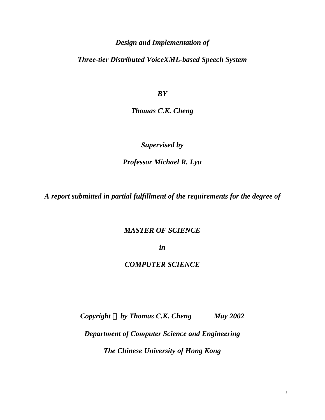## *Design and Implementation of*

*Three-tier Distributed VoiceXML-based Speech System* 

*BY* 

### *Thomas C.K. Cheng*

*Supervised by* 

*Professor Michael R. Lyu* 

*A report submitted in partial fulfillment of the requirements for the degree of* 

### *MASTER OF SCIENCE*

*in* 

### *COMPUTER SCIENCE*

*Copyright Ó by Thomas C.K. Cheng May 2002* 

*Department of Computer Science and Engineering* 

*The Chinese University of Hong Kong*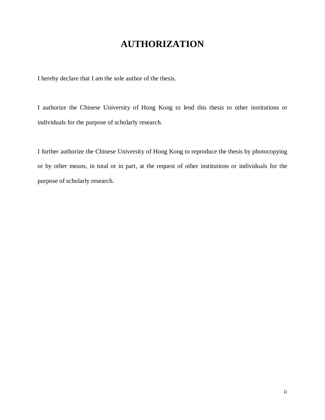# **AUTHORIZATION**

I hereby declare that I am the sole author of the thesis.

I authorize the Chinese University of Hong Kong to lend this thesis to other institutions or individuals for the purpose of scholarly research.

I further authorize the Chinese University of Hong Kong to reproduce the thesis by photocopying or by other means, in total or in part, at the request of other institutions or individuals for the purpose of scholarly research.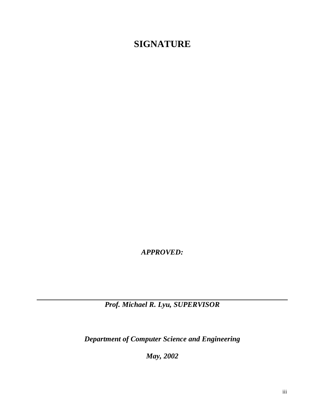# **SIGNATURE**

*APPROVED:* 

*Prof. Michael R. Lyu, SUPERVISOR* 

*Department of Computer Science and Engineering* 

*May, 2002*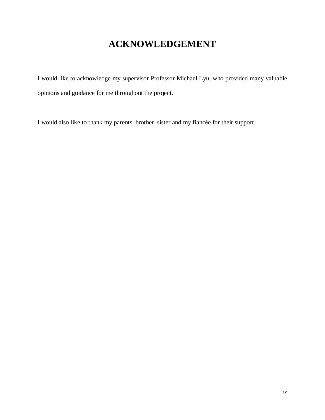# **ACKNOWLEDGEMENT**

I would like to acknowledge my supervisor Professor Michael Lyu, who provided many valuable opinions and guidance for me throughout the project.

I would also like to thank my parents, brother, sister and my fiancée for their support.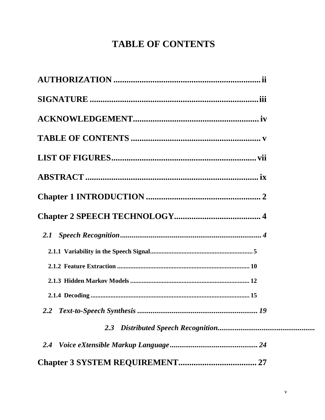# **TABLE OF CONTENTS**

| $2.4^{\circ}$ |
|---------------|
|               |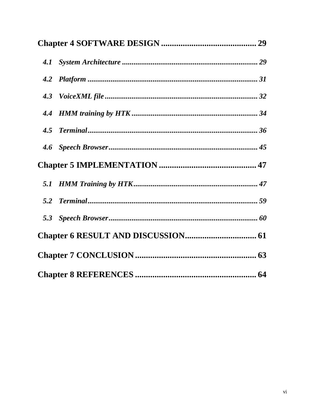| 4.1 |  |  |  |
|-----|--|--|--|
| 4.2 |  |  |  |
|     |  |  |  |
|     |  |  |  |
| 4.5 |  |  |  |
|     |  |  |  |
|     |  |  |  |
|     |  |  |  |
|     |  |  |  |
| 5.3 |  |  |  |
|     |  |  |  |
|     |  |  |  |
|     |  |  |  |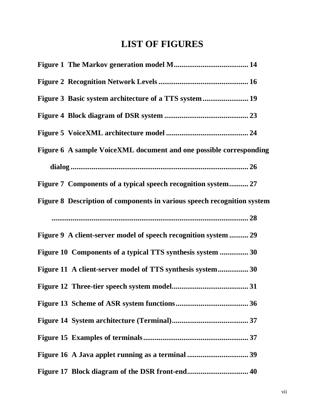# **LIST OF FIGURES**

| Figure 3 Basic system architecture of a TTS system  19                  |
|-------------------------------------------------------------------------|
|                                                                         |
|                                                                         |
| Figure 6 A sample VoiceXML document and one possible corresponding      |
|                                                                         |
| Figure 7 Components of a typical speech recognition system 27           |
| Figure 8 Description of components in various speech recognition system |
|                                                                         |
| Figure 9 A client-server model of speech recognition system  29         |
| Figure 10 Components of a typical TTS synthesis system  30              |
| Figure 11 A client-server model of TTS synthesis system 30              |
|                                                                         |
|                                                                         |
|                                                                         |
|                                                                         |
|                                                                         |
|                                                                         |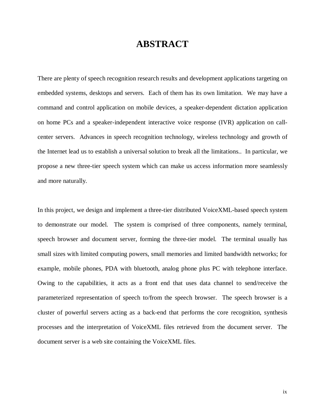# **ABSTRACT**

There are plenty of speech recognition research results and development applications targeting on embedded systems, desktops and servers. Each of them has its own limitation. We may have a command and control application on mobile devices, a speaker-dependent dictation application on home PCs and a speaker-independent interactive voice response (IVR) application on callcenter servers. Advances in speech recognition technology, wireless technology and growth of the Internet lead us to establish a universal solution to break all the limitations.. In particular, we propose a new three-tier speech system which can make us access information more seamlessly and more naturally.

In this project, we design and implement a three-tier distributed VoiceXML-based speech system to demonstrate our model. The system is comprised of three components, namely terminal, speech browser and document server, forming the three-tier model. The terminal usually has small sizes with limited computing powers, small memories and limited bandwidth networks; for example, mobile phones, PDA with bluetooth, analog phone plus PC with telephone interface. Owing to the capabilities, it acts as a front end that uses data channel to send/receive the parameterized representation of speech to/from the speech browser. The speech browser is a cluster of powerful servers acting as a back-end that performs the core recognition, synthesis processes and the interpretation of VoiceXML files retrieved from the document server. The document server is a web site containing the VoiceXML files.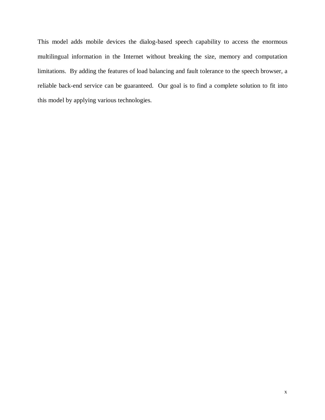This model adds mobile devices the dialog-based speech capability to access the enormous multilingual information in the Internet without breaking the size, memory and computation limitations. By adding the features of load balancing and fault tolerance to the speech browser, a reliable back-end service can be guaranteed. Our goal is to find a complete solution to fit into this model by applying various technologies.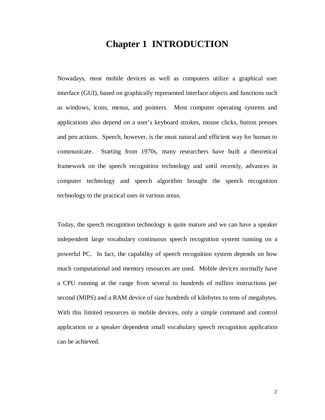# **Chapter 1 INTRODUCTION**

Nowadays, most mobile devices as well as computers utilize a graphical user interface (GUI), based on graphically represented interface objects and functions such as windows, icons, menus, and pointers. Most computer operating systems and applications also depend on a user's keyboard strokes, mouse clicks, button presses and pen actions. Speech, however, is the most natural and efficient way for human to communicate. Starting from 1970s, many researchers have built a theoretical framework on the speech recognition technology and until recently, advances in computer technology and speech algorithm brought the speech recognition technology to the practical uses in various areas.

Today, the speech recognition technology is quite mature and we can have a speaker independent large vocabulary continuous speech recognition system running on a powerful PC. In fact, the capability of speech recognition system depends on how much computational and memory resources are used. Mobile devices normally have a CPU running at the range from several to hundreds of million instructions per second (MIPS) and a RAM device of size hundreds of kilobytes to tens of megabytes. With this limited resources in mobile devices, only a simple command and control application or a speaker dependent small vocabulary speech recognition application can be achieved.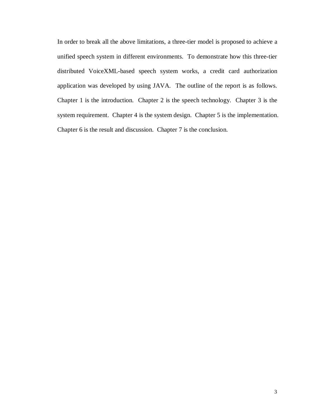In order to break all the above limitations, a three-tier model is proposed to achieve a unified speech system in different environments. To demonstrate how this three-tier distributed VoiceXML-based speech system works, a credit card authorization application was developed by using JAVA. The outline of the report is as follows. Chapter 1 is the introduction. Chapter 2 is the speech technology. Chapter 3 is the system requirement. Chapter 4 is the system design. Chapter 5 is the implementation. Chapter 6 is the result and discussion. Chapter 7 is the conclusion.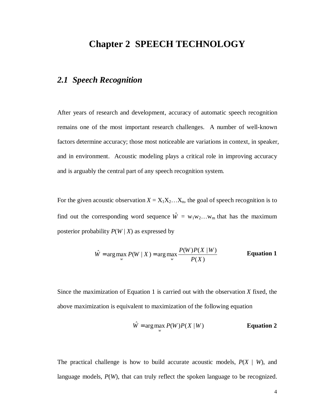# **Chapter 2 SPEECH TECHNOLOGY**

# *2.1 Speech Recognition*

After years of research and development, accuracy of automatic speech recognition remains one of the most important research challenges. A number of well-known factors determine accuracy; those most noticeable are variations in context, in speaker, and in environment. Acoustic modeling plays a critical role in improving accuracy and is arguably the central part of any speech recognition system.

For the given acoustic observation  $X = X_1X_2...X_n$ , the goal of speech recognition is to find out the corresponding word sequence  $\hat{W} = w_1w_2...w_m$  that has the maximum posterior probability  $P(W | X)$  as expressed by

$$
\hat{W} = \arg \max_{w} P(W \mid X) = \arg \max_{w} \frac{P(W)P(X \mid W)}{P(X)}
$$
 Equation 1

Since the maximization of Equation 1 is carried out with the observation *X* fixed, the above maximization is equivalent to maximization of the following equation

$$
\hat{W} = \arg \max_{w} P(W) P(X | W)
$$
 **Equation 2**

The practical challenge is how to build accurate acoustic models,  $P(X \mid W)$ , and language models, *P*(*W*), that can truly reflect the spoken language to be recognized.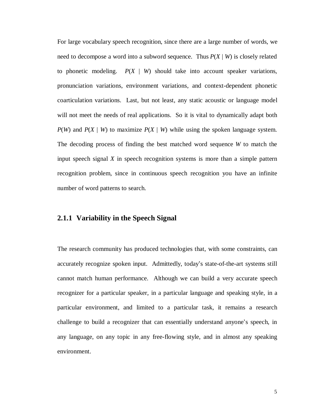For large vocabulary speech recognition, since there are a large number of words, we need to decompose a word into a subword sequence. Thus *P*(*X* | *W*) is closely related to phonetic modeling.  $P(X \mid W)$  should take into account speaker variations, pronunciation variations, environment variations, and context-dependent phonetic coarticulation variations. Last, but not least, any static acoustic or language model will not meet the needs of real applications. So it is vital to dynamically adapt both  $P(W)$  and  $P(X | W)$  to maximize  $P(X | W)$  while using the spoken language system. The decoding process of finding the best matched word sequence *W* to match the input speech signal *X* in speech recognition systems is more than a simple pattern recognition problem, since in continuous speech recognition you have an infinite number of word patterns to search.

#### **2.1.1 Variability in the Speech Signal**

The research community has produced technologies that, with some constraints, can accurately recognize spoken input. Admittedly, today's state-of-the-art systems still cannot match human performance. Although we can build a very accurate speech recognizer for a particular speaker, in a particular language and speaking style, in a particular environment, and limited to a particular task, it remains a research challenge to build a recognizer that can essentially understand anyone's speech, in any language, on any topic in any free-flowing style, and in almost any speaking environment.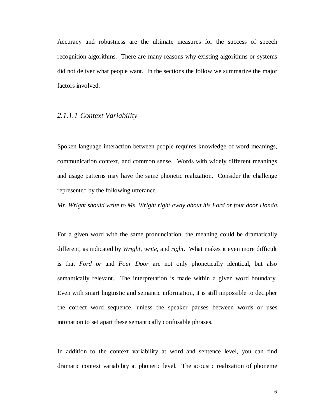Accuracy and robustness are the ultimate measures for the success of speech recognition algorithms. There are many reasons why existing algorithms or systems did not deliver what people want. In the sections the follow we summarize the major factors involved.

#### *2.1.1.1 Context Variability*

Spoken language interaction between people requires knowledge of word meanings, communication context, and common sense. Words with widely different meanings and usage patterns may have the same phonetic realization. Consider the challenge represented by the following utterance.

*Mr. Wright should write to Ms. Wright right away about his Ford or four door Honda.*

For a given word with the same pronunciation, the meaning could be dramatically different, as indicated by *Wright*, *write*, and *right*. What makes it even more difficult is that *Ford or* and *Four Door* are not only phonetically identical, but also semantically relevant. The interpretation is made within a given word boundary. Even with smart linguistic and semantic information, it is still impossible to decipher the correct word sequence, unless the speaker pauses between words or uses intonation to set apart these semantically confusable phrases.

In addition to the context variability at word and sentence level, you can find dramatic context variability at phonetic level. The acoustic realization of phoneme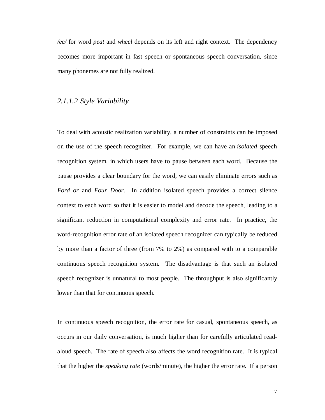*/ee/* for word *peat* and *wheel* depends on its left and right context. The dependency becomes more important in fast speech or spontaneous speech conversation, since many phonemes are not fully realized.

#### *2.1.1.2 Style Variability*

To deal with acoustic realization variability, a number of constraints can be imposed on the use of the speech recognizer. For example, we can have an *isolated* speech recognition system, in which users have to pause between each word. Because the pause provides a clear boundary for the word, we can easily eliminate errors such as *Ford or* and *Four Door*. In addition isolated speech provides a correct silence context to each word so that it is easier to model and decode the speech, leading to a significant reduction in computational complexity and error rate. In practice, the word-recognition error rate of an isolated speech recognizer can typically be reduced by more than a factor of three (from 7% to 2%) as compared with to a comparable continuous speech recognition system. The disadvantage is that such an isolated speech recognizer is unnatural to most people. The throughput is also significantly lower than that for continuous speech.

In continuous speech recognition, the error rate for casual, spontaneous speech, as occurs in our daily conversation, is much higher than for carefully articulated readaloud speech. The rate of speech also affects the word recognition rate. It is typical that the higher the *speaking rate* (words/minute), the higher the error rate. If a person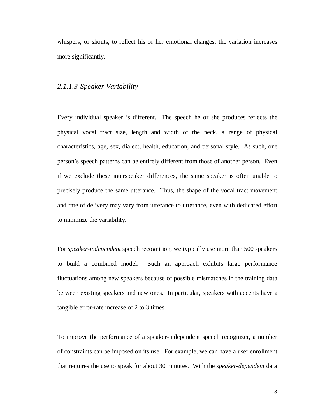whispers, or shouts, to reflect his or her emotional changes, the variation increases more significantly.

#### *2.1.1.3 Speaker Variability*

Every individual speaker is different. The speech he or she produces reflects the physical vocal tract size, length and width of the neck, a range of physical characteristics, age, sex, dialect, health, education, and personal style. As such, one person's speech patterns can be entirely different from those of another person. Even if we exclude these interspeaker differences, the same speaker is often unable to precisely produce the same utterance. Thus, the shape of the vocal tract movement and rate of delivery may vary from utterance to utterance, even with dedicated effort to minimize the variability.

For *speaker-independent* speech recognition, we typically use more than 500 speakers to build a combined model. Such an approach exhibits large performance fluctuations among new speakers because of possible mismatches in the training data between existing speakers and new ones. In particular, speakers with accents have a tangible error-rate increase of 2 to 3 times.

To improve the performance of a speaker-independent speech recognizer, a number of constraints can be imposed on its use. For example, we can have a user enrollment that requires the use to speak for about 30 minutes. With the *speaker-dependent* data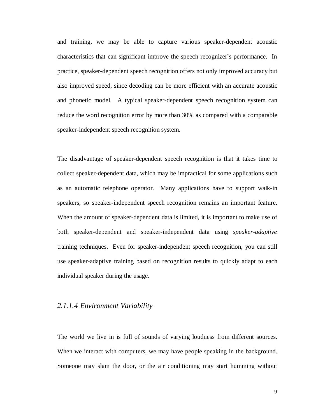and training, we may be able to capture various speaker-dependent acoustic characteristics that can significant improve the speech recognizer's performance. In practice, speaker-dependent speech recognition offers not only improved accuracy but also improved speed, since decoding can be more efficient with an accurate acoustic and phonetic model. A typical speaker-dependent speech recognition system can reduce the word recognition error by more than 30% as compared with a comparable speaker-independent speech recognition system.

The disadvantage of speaker-dependent speech recognition is that it takes time to collect speaker-dependent data, which may be impractical for some applications such as an automatic telephone operator. Many applications have to support walk-in speakers, so speaker-independent speech recognition remains an important feature. When the amount of speaker-dependent data is limited, it is important to make use of both speaker-dependent and speaker-independent data using *speaker-adaptive* training techniques. Even for speaker-independent speech recognition, you can still use speaker-adaptive training based on recognition results to quickly adapt to each individual speaker during the usage.

#### *2.1.1.4 Environment Variability*

The world we live in is full of sounds of varying loudness from different sources. When we interact with computers, we may have people speaking in the background. Someone may slam the door, or the air conditioning may start humming without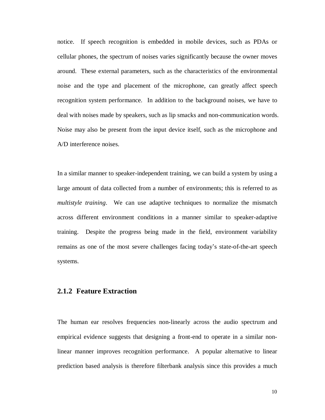notice. If speech recognition is embedded in mobile devices, such as PDAs or cellular phones, the spectrum of noises varies significantly because the owner moves around. These external parameters, such as the characteristics of the environmental noise and the type and placement of the microphone, can greatly affect speech recognition system performance. In addition to the background noises, we have to deal with noises made by speakers, such as lip smacks and non-communication words. Noise may also be present from the input device itself, such as the microphone and A/D interference noises.

In a similar manner to speaker-independent training, we can build a system by using a large amount of data collected from a number of environments; this is referred to as *multistyle training*. We can use adaptive techniques to normalize the mismatch across different environment conditions in a manner similar to speaker-adaptive training. Despite the progress being made in the field, environment variability remains as one of the most severe challenges facing today's state-of-the-art speech systems.

#### **2.1.2 Feature Extraction**

The human ear resolves frequencies non-linearly across the audio spectrum and empirical evidence suggests that designing a front-end to operate in a similar nonlinear manner improves recognition performance. A popular alternative to linear prediction based analysis is therefore filterbank analysis since this provides a much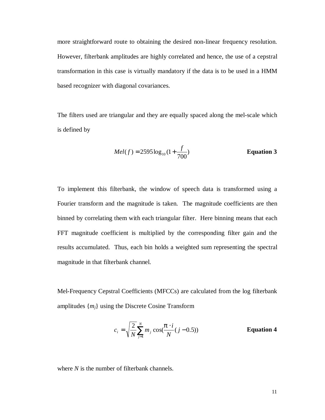more straightforward route to obtaining the desired non-linear frequency resolution. However, filterbank amplitudes are highly correlated and hence, the use of a cepstral transformation in this case is virtually mandatory if the data is to be used in a HMM based recognizer with diagonal covariances.

The filters used are triangular and they are equally spaced along the mel-scale which is defined by

$$
Mel(f) = 2595 \log_{10}(1 + \frac{f}{700})
$$
 **Equation 3**

To implement this filterbank, the window of speech data is transformed using a Fourier transform and the magnitude is taken. The magnitude coefficients are then binned by correlating them with each triangular filter. Here binning means that each FFT magnitude coefficient is multiplied by the corresponding filter gain and the results accumulated. Thus, each bin holds a weighted sum representing the spectral magnitude in that filterbank channel.

Mel-Frequency Cepstral Coefficients (MFCCs) are calculated from the log filterbank amplitudes {*mj*} using the Discrete Cosine Transform

$$
c_i = \sqrt{\frac{2}{N}} \sum_{j=1}^{N} m_j \cos(\frac{\mathbf{p} \cdot i}{N} (j-0.5))
$$
 **Equation 4**

where *N* is the number of filterbank channels.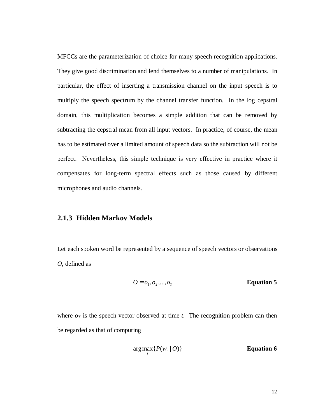MFCCs are the parameterization of choice for many speech recognition applications. They give good discrimination and lend themselves to a number of manipulations. In particular, the effect of inserting a transmission channel on the input speech is to multiply the speech spectrum by the channel transfer function. In the log cepstral domain, this multiplication becomes a simple addition that can be removed by subtracting the cepstral mean from all input vectors. In practice, of course, the mean has to be estimated over a limited amount of speech data so the subtraction will not be perfect. Nevertheless, this simple technique is very effective in practice where it compensates for long-term spectral effects such as those caused by different microphones and audio channels.

#### **2.1.3 Hidden Markov Models**

Let each spoken word be represented by a sequence of speech vectors or observations *O*, defined as

$$
O = o_1, o_2, \dots, o_T
$$
 **Equation 5**

where  $o<sub>T</sub>$  is the speech vector observed at time *t*. The recognition problem can then be regarded as that of computing

$$
\arg\max_{i} \{P(w_i \mid O)\} \qquad \qquad \textbf{Equation 6}
$$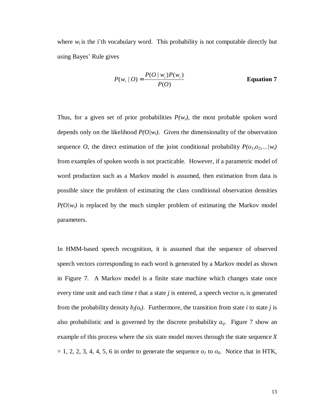where  $w_i$  is the i'th vocabulary word. This probability is not computable directly but using Bayes' Rule gives

$$
P(w_i | O) = \frac{P(O | w_i)P(w_i)}{P(O)}
$$
 Equation 7

Thus, for a given set of prior probabilities  $P(w_i)$ , the most probable spoken word depends only on the likelihood  $P(O|w_i)$ . Given the dimensionality of the observation sequence *O*, the direct estimation of the joint conditional probability  $P(o_1, o_2, \ldots | w_i)$ from examples of spoken words is not practicable. However, if a parametric model of word production such as a Markov model is assumed, then estimation from data is possible since the problem of estimating the class conditional observation densities  $P(O|w_i)$  is replaced by the much simpler problem of estimating the Markov model parameters.

In HMM-based speech recognition, it is assumed that the sequence of observed speech vectors corresponding to each word is generated by a Markov model as shown in Figure 7. A Markov model is a finite state machine which changes state once every time unit and each time  $t$  that a state  $j$  is entered, a speech vector  $o_t$  is generated from the probability density  $b_i(o_t)$ . Furthermore, the transition from state *i* to state *j* is also probabilistic and is governed by the discrete probability  $a_{ij}$ . Figure 7 show an example of this process where the six state model moves through the state sequence *X*  $= 1, 2, 2, 3, 4, 4, 5, 6$  in order to generate the sequence  $o<sub>I</sub>$  to  $o<sub>6</sub>$ . Notice that in HTK,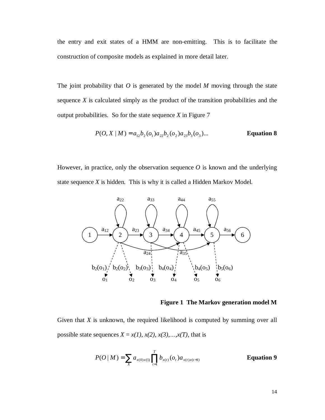the entry and exit states of a HMM are non-emitting. This is to facilitate the construction of composite models as explained in more detail later.

The joint probability that *O* is generated by the model *M* moving through the state sequence *X* is calculated simply as the product of the transition probabilities and the output probabilities. So for the state sequence *X* in Figure 7

$$
P(O, X \mid M) = a_{12}b_2(o_1)a_{22}b_2(o_2)a_{23}b_3(o_3)... \qquad \text{Equation 8}
$$

However, in practice, only the observation sequence  $O$  is known and the underlying state sequence *X* is hidden. This is why it is called a Hidden Markov Model.



#### **Figure 1 The Markov generation model M**

Given that *X* is unknown, the required likelihood is computed by summing over all possible state sequences  $X = x(1)$ ,  $x(2)$ ,  $x(3)$ , *…*, $x(T)$ , that is

$$
P(O | M) = \sum_{X} a_{x(0)x(1)} \prod_{t=1}^{T} b_{x(t)}(o_t) a_{x(t)x(t+1)}
$$
 **Equation 9**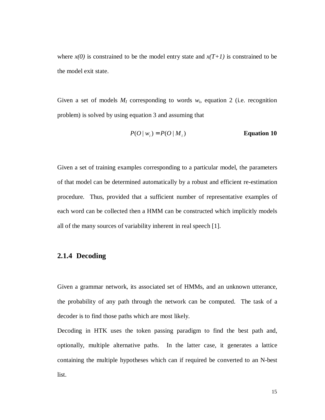where  $x(0)$  is constrained to be the model entry state and  $x(T+1)$  is constrained to be the model exit state.

Given a set of models  $M_I$  corresponding to words  $w_i$ , equation 2 (i.e. recognition problem) is solved by using equation 3 and assuming that

$$
P(O | w_i) = P(O | M_i)
$$
 Equation 10

Given a set of training examples corresponding to a particular model, the parameters of that model can be determined automatically by a robust and efficient re-estimation procedure. Thus, provided that a sufficient number of representative examples of each word can be collected then a HMM can be constructed which implicitly models all of the many sources of variability inherent in real speech [1].

### **2.1.4 Decoding**

Given a grammar network, its associated set of HMMs, and an unknown utterance, the probability of any path through the network can be computed. The task of a decoder is to find those paths which are most likely.

Decoding in HTK uses the token passing paradigm to find the best path and, optionally, multiple alternative paths. In the latter case, it generates a lattice containing the multiple hypotheses which can if required be converted to an N-best list.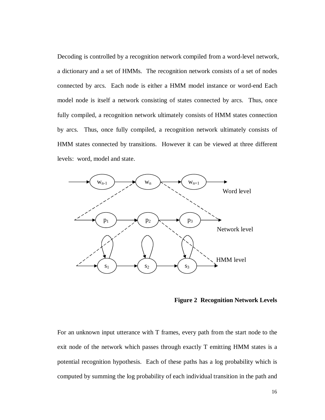Decoding is controlled by a recognition network compiled from a word-level network, a dictionary and a set of HMMs. The recognition network consists of a set of nodes connected by arcs. Each node is either a HMM model instance or word-end Each model node is itself a network consisting of states connected by arcs. Thus, once fully compiled, a recognition network ultimately consists of HMM states connection by arcs. Thus, once fully compiled, a recognition network ultimately consists of HMM states connected by transitions. However it can be viewed at three different levels: word, model and state.



**Figure 2 Recognition Network Levels** 

For an unknown input utterance with T frames, every path from the start node to the exit node of the network which passes through exactly T emitting HMM states is a potential recognition hypothesis. Each of these paths has a log probability which is computed by summing the log probability of each individual transition in the path and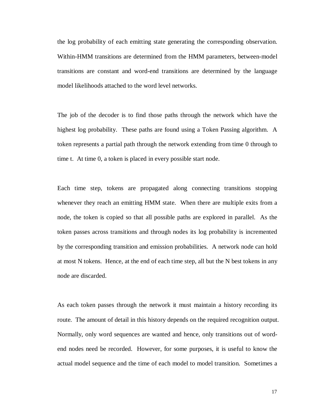the log probability of each emitting state generating the corresponding observation. Within-HMM transitions are determined from the HMM parameters, between-model transitions are constant and word-end transitions are determined by the language model likelihoods attached to the word level networks.

The job of the decoder is to find those paths through the network which have the highest log probability. These paths are found using a Token Passing algorithm. A token represents a partial path through the network extending from time 0 through to time t. At time 0, a token is placed in every possible start node.

Each time step, tokens are propagated along connecting transitions stopping whenever they reach an emitting HMM state. When there are multiple exits from a node, the token is copied so that all possible paths are explored in parallel. As the token passes across transitions and through nodes its log probability is incremented by the corresponding transition and emission probabilities. A network node can hold at most N tokens. Hence, at the end of each time step, all but the N best tokens in any node are discarded.

As each token passes through the network it must maintain a history recording its route. The amount of detail in this history depends on the required recognition output. Normally, only word sequences are wanted and hence, only transitions out of wordend nodes need be recorded. However, for some purposes, it is useful to know the actual model sequence and the time of each model to model transition. Sometimes a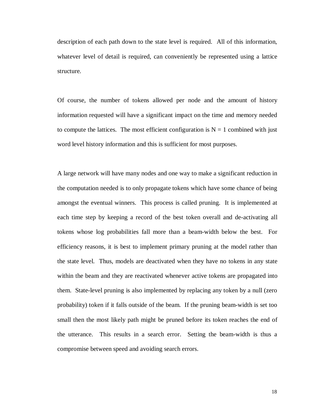description of each path down to the state level is required. All of this information, whatever level of detail is required, can conveniently be represented using a lattice structure.

Of course, the number of tokens allowed per node and the amount of history information requested will have a significant impact on the time and memory needed to compute the lattices. The most efficient configuration is  $N = 1$  combined with just word level history information and this is sufficient for most purposes.

A large network will have many nodes and one way to make a significant reduction in the computation needed is to only propagate tokens which have some chance of being amongst the eventual winners. This process is called pruning. It is implemented at each time step by keeping a record of the best token overall and de-activating all tokens whose log probabilities fall more than a beam-width below the best. For efficiency reasons, it is best to implement primary pruning at the model rather than the state level. Thus, models are deactivated when they have no tokens in any state within the beam and they are reactivated whenever active tokens are propagated into them. State-level pruning is also implemented by replacing any token by a null (zero probability) token if it falls outside of the beam. If the pruning beam-width is set too small then the most likely path might be pruned before its token reaches the end of the utterance. This results in a search error. Setting the beam-width is thus a compromise between speed and avoiding search errors.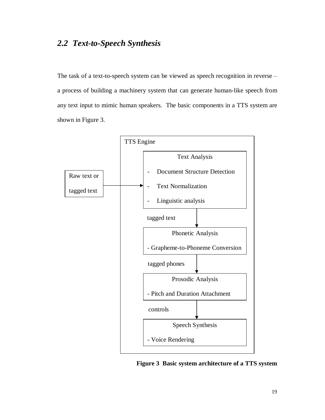# *2.2 Text-to-Speech Synthesis*

The task of a text-to-speech system can be viewed as speech recognition in reverse – a process of building a machinery system that can generate human-like speech from any text input to mimic human speakers. The basic components in a TTS system are shown in Figure 3.



**Figure 3 Basic system architecture of a TTS system**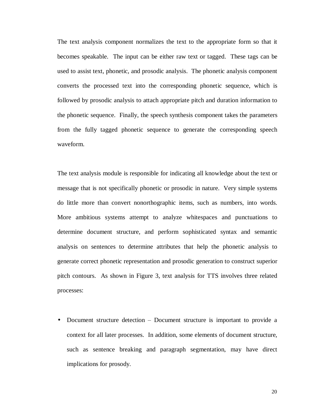The text analysis component normalizes the text to the appropriate form so that it becomes speakable. The input can be either raw text or tagged. These tags can be used to assist text, phonetic, and prosodic analysis. The phonetic analysis component converts the processed text into the corresponding phonetic sequence, which is followed by prosodic analysis to attach appropriate pitch and duration information to the phonetic sequence. Finally, the speech synthesis component takes the parameters from the fully tagged phonetic sequence to generate the corresponding speech waveform.

The text analysis module is responsible for indicating all knowledge about the text or message that is not specifically phonetic or prosodic in nature. Very simple systems do little more than convert nonorthographic items, such as numbers, into words. More ambitious systems attempt to analyze whitespaces and punctuations to determine document structure, and perform sophisticated syntax and semantic analysis on sentences to determine attributes that help the phonetic analysis to generate correct phonetic representation and prosodic generation to construct superior pitch contours. As shown in Figure 3, text analysis for TTS involves three related processes:

• Document structure detection – Document structure is important to provide a context for all later processes. In addition, some elements of document structure, such as sentence breaking and paragraph segmentation, may have direct implications for prosody.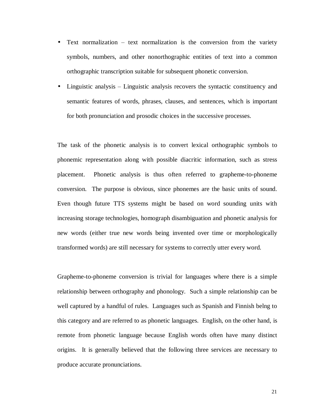- Text normalization text normalization is the conversion from the variety symbols, numbers, and other nonorthographic entities of text into a common orthographic transcription suitable for subsequent phonetic conversion.
- Linguistic analysis Linguistic analysis recovers the syntactic constituency and semantic features of words, phrases, clauses, and sentences, which is important for both pronunciation and prosodic choices in the successive processes.

The task of the phonetic analysis is to convert lexical orthographic symbols to phonemic representation along with possible diacritic information, such as stress placement. Phonetic analysis is thus often referred to grapheme-to-phoneme conversion. The purpose is obvious, since phonemes are the basic units of sound. Even though future TTS systems might be based on word sounding units with increasing storage technologies, homograph disambiguation and phonetic analysis for new words (either true new words being invented over time or morphologically transformed words) are still necessary for systems to correctly utter every word.

Grapheme-to-phoneme conversion is trivial for languages where there is a simple relationship between orthography and phonology. Such a simple relationship can be well captured by a handful of rules. Languages such as Spanish and Finnish belng to this category and are referred to as phonetic languages. English, on the other hand, is remote from phonetic language because English words often have many distinct origins. It is generally believed that the following three services are necessary to produce accurate pronunciations.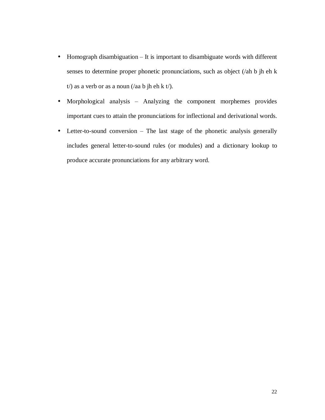- Homograph disambiguation It is important to disambiguate words with different senses to determine proper phonetic pronunciations, such as object (/ah b jh eh k t/) as a verb or as a noun (/aa b jh eh k t/).
- Morphological analysis Analyzing the component morphemes provides important cues to attain the pronunciations for inflectional and derivational words.
- Letter-to-sound conversion The last stage of the phonetic analysis generally includes general letter-to-sound rules (or modules) and a dictionary lookup to produce accurate pronunciations for any arbitrary word.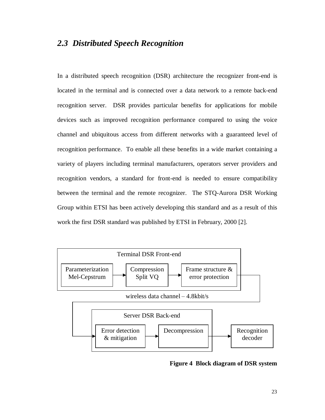## *2.3 Distributed Speech Recognition*

In a distributed speech recognition (DSR) architecture the recognizer front-end is located in the terminal and is connected over a data network to a remote back-end recognition server. DSR provides particular benefits for applications for mobile devices such as improved recognition performance compared to using the voice channel and ubiquitous access from different networks with a guaranteed level of recognition performance. To enable all these benefits in a wide market containing a variety of players including terminal manufacturers, operators server providers and recognition vendors, a standard for front-end is needed to ensure compatibility between the terminal and the remote recognizer. The STQ-Aurora DSR Working Group within ETSI has been actively developing this standard and as a result of this work the first DSR standard was published by ETSI in February, 2000 [2].



**Figure 4 Block diagram of DSR system**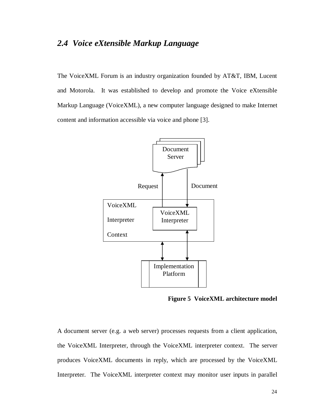## *2.4 Voice eXtensible Markup Language*

The VoiceXML Forum is an industry organization founded by AT&T, IBM, Lucent and Motorola. It was established to develop and promote the Voice eXtensible Markup Language (VoiceXML), a new computer language designed to make Internet content and information accessible via voice and phone [3].



**Figure 5 VoiceXML architecture model** 

A document server (e.g. a web server) processes requests from a client application, the VoiceXML Interpreter, through the VoiceXML interpreter context. The server produces VoiceXML documents in reply, which are processed by the VoiceXML Interpreter. The VoiceXML interpreter context may monitor user inputs in parallel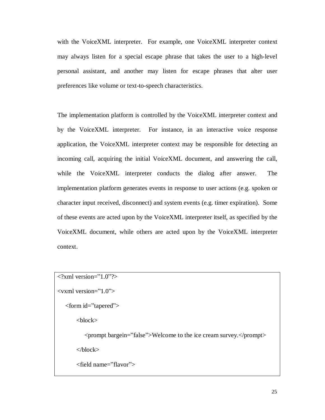with the VoiceXML interpreter. For example, one VoiceXML interpreter context may always listen for a special escape phrase that takes the user to a high-level personal assistant, and another may listen for escape phrases that alter user preferences like volume or text-to-speech characteristics.

The implementation platform is controlled by the VoiceXML interpreter context and by the VoiceXML interpreter. For instance, in an interactive voice response application, the VoiceXML interpreter context may be responsible for detecting an incoming call, acquiring the initial VoiceXML document, and answering the call, while the VoiceXML interpreter conducts the dialog after answer. The implementation platform generates events in response to user actions (e.g. spoken or character input received, disconnect) and system events (e.g. timer expiration). Some of these events are acted upon by the VoiceXML interpreter itself, as specified by the VoiceXML document, while others are acted upon by the VoiceXML interpreter context.

```
\langle?xml version="1.0"?>
\langle vxml version="1.0">
   <form id="tapered"> 
       <block> 
          <prompt bargein="false">Welcome to the ice cream survey.</prompt> 
       </block> 
       <field name="flavor">
```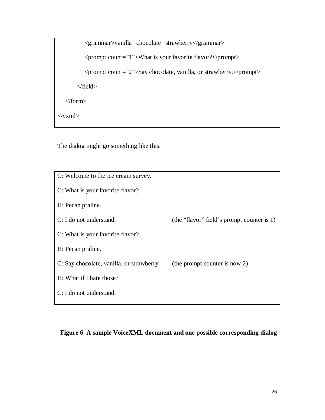```
<grammar>vanilla | chocolate | strawberry</grammar> 
          <prompt count="1">What is your favorite flavor?</prompt> 
          <prompt count="2">Say chocolate, vanilla, or strawberry.</prompt> 
       </field> 
  </form> 
</vxml>
```
The dialog might go something like this:

| C: Welcome to the ice cream survey.       |                                            |  |  |  |
|-------------------------------------------|--------------------------------------------|--|--|--|
| C: What is your favorite flavor?          |                                            |  |  |  |
| H: Pecan praline.                         |                                            |  |  |  |
| C: I do not understand.                   | (the "flavor" field's prompt counter is 1) |  |  |  |
| C: What is your favorite flavor?          |                                            |  |  |  |
| H: Pecan praline.                         |                                            |  |  |  |
| C: Say chocolate, vanilla, or strawberry. | (the prompt counter is now 2)              |  |  |  |
| H: What if I hate those?                  |                                            |  |  |  |
| C: I do not understand.                   |                                            |  |  |  |

### **Figure 6 A sample VoiceXML document and one possible corresponding dialog**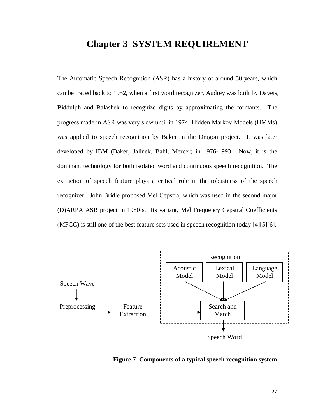# **Chapter 3 SYSTEM REQUIREMENT**

The Automatic Speech Recognition (ASR) has a history of around 50 years, which can be traced back to 1952, when a first word recognizer, Audrey was built by Daveis, Biddulph and Balashek to recognize digits by approximating the formants. The progress made in ASR was very slow until in 1974, Hidden Markov Models (HMMs) was applied to speech recognition by Baker in the Dragon project. It was later developed by IBM (Baker, Jalinek, Bahl, Mercer) in 1976-1993. Now, it is the dominant technology for both isolated word and continuous speech recognition. The extraction of speech feature plays a critical role in the robustness of the speech recognizer. John Bridle proposed Mel Cepstra, which was used in the second major (D)ARPA ASR project in 1980's. Its variant, Mel Frequency Cepstral Coefficients (MFCC) is still one of the best feature sets used in speech recognition today [4][5][6].



**Figure 7 Components of a typical speech recognition system**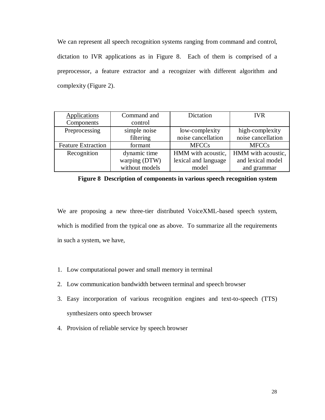We can represent all speech recognition systems ranging from command and control, dictation to IVR applications as in Figure 8. Each of them is comprised of a preprocessor, a feature extractor and a recognizer with different algorithm and complexity (Figure 2).

| Applications              | Command and    | Dictation            | <b>IVR</b>         |
|---------------------------|----------------|----------------------|--------------------|
| Components                | control        |                      |                    |
| Preprocessing             | simple noise   | low-complexity       | high-complexity    |
|                           | filtering      | noise cancellation   | noise cancellation |
| <b>Feature Extraction</b> | formant        | <b>MFCCs</b>         | <b>MFCCs</b>       |
| Recognition               | dynamic time   | HMM with acoustic,   | HMM with acoustic, |
|                           | warping (DTW)  | lexical and language | and lexical model  |
|                           | without models | model                | and grammar        |

**Figure 8 Description of components in various speech recognition system** 

We are proposing a new three-tier distributed VoiceXML-based speech system, which is modified from the typical one as above. To summarize all the requirements in such a system, we have,

- 1. Low computational power and small memory in terminal
- 2. Low communication bandwidth between terminal and speech browser
- 3. Easy incorporation of various recognition engines and text-to-speech (TTS) synthesizers onto speech browser
- 4. Provision of reliable service by speech browser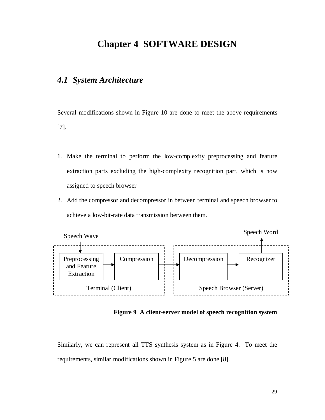## **Chapter 4 SOFTWARE DESIGN**

## *4.1 System Architecture*

Several modifications shown in Figure 10 are done to meet the above requirements [7].

- 1. Make the terminal to perform the low-complexity preprocessing and feature extraction parts excluding the high-complexity recognition part, which is now assigned to speech browser
- 2. Add the compressor and decompressor in between terminal and speech browser to achieve a low-bit-rate data transmission between them.





Similarly, we can represent all TTS synthesis system as in Figure 4. To meet the requirements, similar modifications shown in Figure 5 are done [8].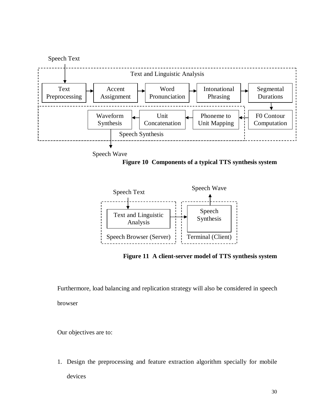



**Figure 10 Components of a typical TTS synthesis system** 



**Figure 11 A client-server model of TTS synthesis system** 

Furthermore, load balancing and replication strategy will also be considered in speech browser

Our objectives are to:

1. Design the preprocessing and feature extraction algorithm specially for mobile devices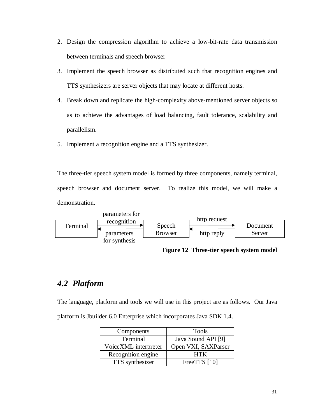- 2. Design the compression algorithm to achieve a low-bit-rate data transmission between terminals and speech browser
- 3. Implement the speech browser as distributed such that recognition engines and TTS synthesizers are server objects that may locate at different hosts.
- 4. Break down and replicate the high-complexity above-mentioned server objects so as to achieve the advantages of load balancing, fault tolerance, scalability and parallelism.
- 5. Implement a recognition engine and a TTS synthesizer.

The three-tier speech system model is formed by three components, namely terminal, speech browser and document server. To realize this model, we will make a demonstration.



**Figure 12 Three-tier speech system model** 

## *4.2 Platform*

The language, platform and tools we will use in this project are as follows. Our Java platform is Jbuilder 6.0 Enterprise which incorporates Java SDK 1.4.

| Components           | <b>Tools</b>        |
|----------------------|---------------------|
| Terminal             | Java Sound API [9]  |
| VoiceXML interpreter | Open VXI, SAXParser |
| Recognition engine   | <b>HTK</b>          |
| TTS synthesizer      | FreeTTS [10]        |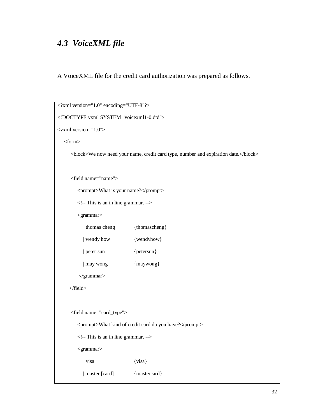## *4.3 VoiceXML file*

A VoiceXML file for the credit card authorization was prepared as follows.

```
<?xml version="1.0" encoding="UTF-8"?> 
<!DOCTYPE vxml SYSTEM "voicexml1-0.dtd"> 
<vxml version="1.0"> 
   <form> 
      <block>We now need your name, credit card type, number and expiration date.</block> 
      <field name="name"> 
         <prompt>What is your name?</prompt> 
         <!-- This is an in line grammar. --> 
         <grammar> 
           thomas cheng {thomascheng}
          | wendy how {wendyhow}
          | peter sun {petersun}
          | may wong {mg | maywong |
         </grammar> 
      </field> 
      <field name="card_type"> 
         <prompt>What kind of credit card do you have?</prompt> 
         <!-- This is an in line grammar. --> 
         <grammar> 
           visa {visa}
          | master [card] {masser} [card]
```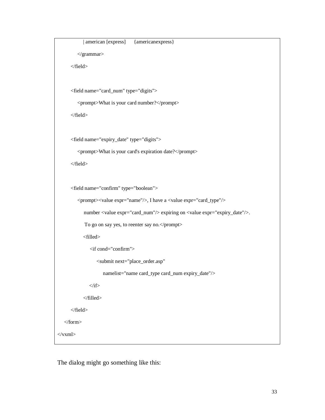```
| american [express] { americanexpress }
          </grammar> 
       </field> 
       <field name="card_num" type="digits"> 
          <prompt>What is your card number?</prompt> 
       </field> 
       <field name="expiry_date" type="digits"> 
          <prompt>What is your card's expiration date?</prompt> 
       </field> 
       <field name="confirm" type="boolean"> 
          <prompt><value expr="name"/>, I have a <value expr="card_type"/> 
             number <value expr="card_num"/> expiring on <value expr="expiry_date"/>. 
            To go on say yes, to reenter say no.</prompt>
             <filled> 
                <if cond="confirm"> 
                   <submit next="place_order.asp" 
                      namelist="name card_type card_num expiry_date"/> 
              \langleif>
            </filled> 
       </field> 
   </form> 
</vxml>
```
The dialog might go something like this: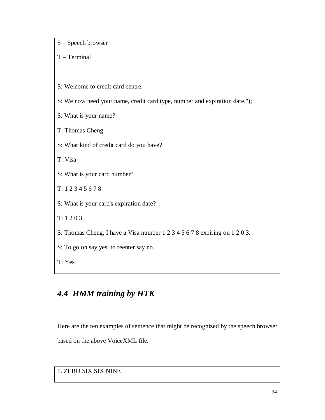| $S -$ Speech browser |  |
|----------------------|--|
|----------------------|--|

T – Terminal

S: Welcome to credit card centre.

S: We now need your name, credit card type, number and expiration date.");

S: What is your name?

T: Thomas Cheng.

S: What kind of credit card do you have?

T: Visa

S: What is your card number?

T: 1 2 3 4 5 6 7 8

S: What is your card's expiration date?

T: 1 2 0 3

S: Thomas Cheng, I have a Visa number 1 2 3 4 5 6 7 8 expiring on 1 2 0 3.

S: To go on say yes, to reenter say no.

T: Yes

## *4.4 HMM training by HTK*

Here are the ten examples of sentence that might be recognized by the speech browser based on the above VoiceXML file.

#### 1. ZERO SIX SIX NINE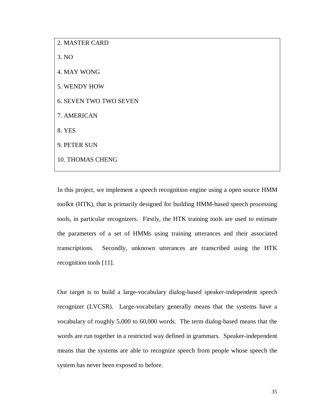2. MASTER CARD

3. NO

4. MAY WONG

5. WENDY HOW

6. SEVEN TWO TWO SEVEN

7. AMERICAN

8. YES

9. PETER SUN

10. THOMAS CHENG

In this project, we implement a speech recognition engine using a open source HMM toolkit (HTK), that is primarily designed for building HMM-based speech processing tools, in particular recognizers. Firstly, the HTK training tools are used to estimate the parameters of a set of HMMs using training utterances and their associated transcriptions. Secondly, unknown utterances are transcribed using the HTK recognition tools [11].

Our target is to build a large-vocabulary dialog-based speaker-independent speech recognizer (LVCSR). Large-vocabulary generally means that the systems have a vocabulary of roughly 5,000 to 60,000 words. The term dialog-based means that the words are run together in a restricted way defined in grammars. Speaker-independent means that the systems are able to recognize speech from people whose speech the system has never been exposed to before.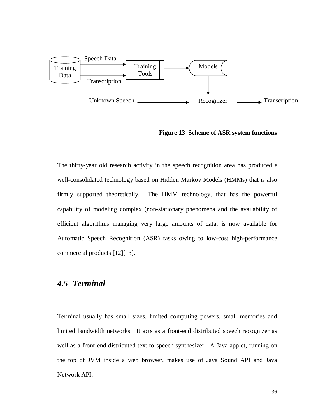

**Figure 13 Scheme of ASR system functions** 

The thirty-year old research activity in the speech recognition area has produced a well-consolidated technology based on Hidden Markov Models (HMMs) that is also firmly supported theoretically. The HMM technology, that has the powerful capability of modeling complex (non-stationary phenomena and the availability of efficient algorithms managing very large amounts of data, is now available for Automatic Speech Recognition (ASR) tasks owing to low-cost high-performance commercial products [12][13].

### *4.5 Terminal*

Terminal usually has small sizes, limited computing powers, small memories and limited bandwidth networks. It acts as a front-end distributed speech recognizer as well as a front-end distributed text-to-speech synthesizer. A Java applet, running on the top of JVM inside a web browser, makes use of Java Sound API and Java Network API.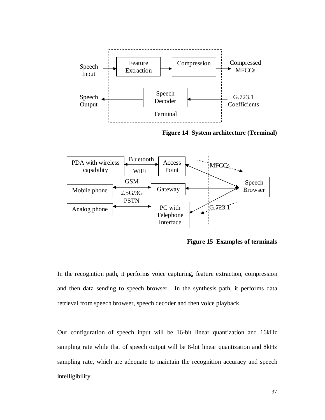

**Figure 14 System architecture (Terminal)** 



**Figure 15 Examples of terminals** 

In the recognition path, it performs voice capturing, feature extraction, compression and then data sending to speech browser. In the synthesis path, it performs data retrieval from speech browser, speech decoder and then voice playback.

Our configuration of speech input will be 16-bit linear quantization and 16kHz sampling rate while that of speech output will be 8-bit linear quantization and 8kHz sampling rate, which are adequate to maintain the recognition accuracy and speech intelligibility.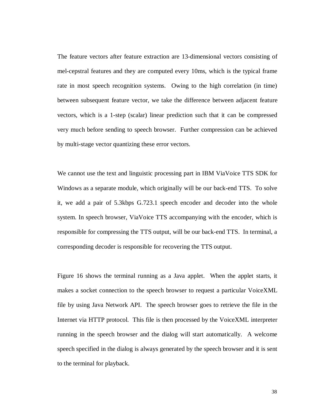The feature vectors after feature extraction are 13-dimensional vectors consisting of mel-cepstral features and they are computed every 10ms, which is the typical frame rate in most speech recognition systems. Owing to the high correlation (in time) between subsequent feature vector, we take the difference between adjacent feature vectors, which is a 1-step (scalar) linear prediction such that it can be compressed very much before sending to speech browser. Further compression can be achieved by multi-stage vector quantizing these error vectors.

We cannot use the text and linguistic processing part in IBM ViaVoice TTS SDK for Windows as a separate module, which originally will be our back-end TTS. To solve it, we add a pair of 5.3kbps G.723.1 speech encoder and decoder into the whole system. In speech browser, ViaVoice TTS accompanying with the encoder, which is responsible for compressing the TTS output, will be our back-end TTS. In terminal, a corresponding decoder is responsible for recovering the TTS output.

Figure 16 shows the terminal running as a Java applet. When the applet starts, it makes a socket connection to the speech browser to request a particular VoiceXML file by using Java Network API. The speech browser goes to retrieve the file in the Internet via HTTP protocol. This file is then processed by the VoiceXML interpreter running in the speech browser and the dialog will start automatically. A welcome speech specified in the dialog is always generated by the speech browser and it is sent to the terminal for playback.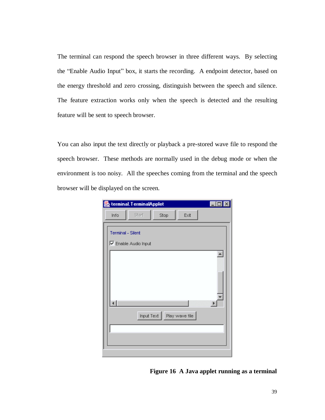The terminal can respond the speech browser in three different ways. By selecting the "Enable Audio Input" box, it starts the recording. A endpoint detector, based on the energy threshold and zero crossing, distinguish between the speech and silence. The feature extraction works only when the speech is detected and the resulting feature will be sent to speech browser.

You can also input the text directly or playback a pre-stored wave file to respond the speech browser. These methods are normally used in the debug mode or when the environment is too noisy. All the speeches coming from the terminal and the speech browser will be displayed on the screen.

| terminal.TerminalApplet {        | L |
|----------------------------------|---|
| Start<br>Exit<br>Info<br>Stop    |   |
|                                  |   |
| Terminal - Silent                |   |
| <b>▽</b> Enable Audio Input      |   |
|                                  | ۰ |
|                                  |   |
|                                  |   |
|                                  |   |
|                                  |   |
|                                  |   |
|                                  |   |
| Input Text $ $<br>Play wave file |   |
|                                  |   |
|                                  |   |
|                                  |   |

#### **Figure 16 A Java applet running as a terminal**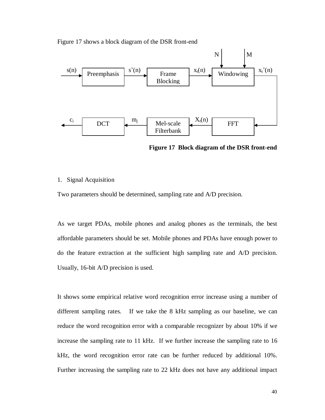Figure 17 shows a block diagram of the DSR front-end



**Figure 17 Block diagram of the DSR front-end** 

#### 1. Signal Acquisition

Two parameters should be determined, sampling rate and A/D precision.

As we target PDAs, mobile phones and analog phones as the terminals, the best affordable parameters should be set. Mobile phones and PDAs have enough power to do the feature extraction at the sufficient high sampling rate and A/D precision. Usually, 16-bit A/D precision is used.

It shows some empirical relative word recognition error increase using a number of different sampling rates. If we take the 8 kHz sampling as our baseline, we can reduce the word recognition error with a comparable recognizer by about 10% if we increase the sampling rate to 11 kHz. If we further increase the sampling rate to 16 kHz, the word recognition error rate can be further reduced by additional 10%. Further increasing the sampling rate to 22 kHz does not have any additional impact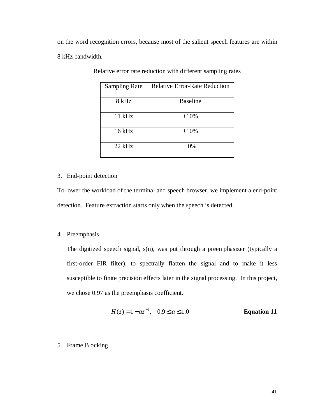on the word recognition errors, because most of the salient speech features are within 8 kHz bandwidth.

| <b>Sampling Rate</b> | <b>Relative Error-Rate Reduction</b> |
|----------------------|--------------------------------------|
| 8 kHz                | <b>Baseline</b>                      |
| $11$ kHz             | $+10%$                               |
| $16$ kHz             | $+10%$                               |
| $22$ kHz             | $+0\%$                               |

Relative error rate reduction with different sampling rates

#### 3. End-point detection

To lower the workload of the terminal and speech browser, we implement a end-point detection. Feature extraction starts only when the speech is detected.

#### 4. Preemphasis

The digitized speech signal, s(n), was put through a preemphasizer (typically a first-order FIR filter), to spectrally flatten the signal and to make it less susceptible to finite precision effects later in the signal processing. In this project, we chose 0.97 as the preemphasis coefficient.

$$
H(z) = 1 - az^{-1}, \quad 0.9 \le a \le 1.0
$$
 **Equation 11**

5. Frame Blocking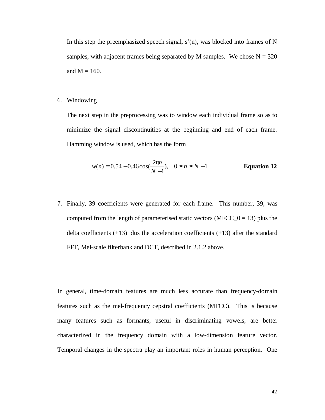In this step the preemphasized speech signal,  $s'(n)$ , was blocked into frames of N samples, with adjacent frames being separated by M samples. We chose  $N = 320$ and  $M = 160$ .

6. Windowing

The next step in the preprocessing was to window each individual frame so as to minimize the signal discontinuities at the beginning and end of each frame. Hamming window is used, which has the form

$$
w(n) = 0.54 - 0.46 \cos(\frac{2pn}{N-1}), \quad 0 \le n \le N-1
$$
 **Equation 12**

7. Finally, 39 coefficients were generated for each frame. This number, 39, was computed from the length of parameterised static vectors (MFCC $_0$  = 13) plus the delta coefficients  $(+13)$  plus the acceleration coefficients  $(+13)$  after the standard FFT, Mel-scale filterbank and DCT, described in 2.1.2 above.

In general, time-domain features are much less accurate than frequency-domain features such as the mel-frequency cepstral coefficients (MFCC). This is because many features such as formants, useful in discriminating vowels, are better characterized in the frequency domain with a low-dimension feature vector. Temporal changes in the spectra play an important roles in human perception. One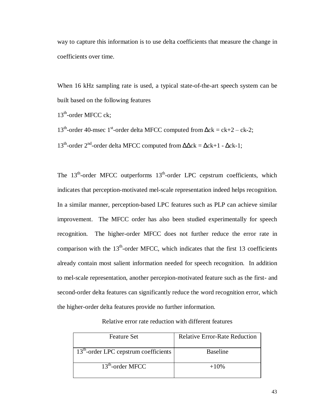way to capture this information is to use delta coefficients that measure the change in coefficients over time.

When 16 kHz sampling rate is used, a typical state-of-the-art speech system can be built based on the following features

13<sup>th</sup>-order MFCC ck;

13<sup>th</sup>-order 40-msec 1<sup>st</sup>-order delta MFCC computed from  $\Delta$ ck = ck+2 – ck-2;

13<sup>th</sup>-order 2<sup>nd</sup>-order delta MFCC computed from  $Δ\Delta ck = Δck+1 - Δck-1$ ;

The  $13<sup>th</sup>$ -order MFCC outperforms  $13<sup>th</sup>$ -order LPC cepstrum coefficients, which indicates that perception-motivated mel-scale representation indeed helps recognition. In a similar manner, perception-based LPC features such as PLP can achieve similar improvement. The MFCC order has also been studied experimentally for speech recognition. The higher-order MFCC does not further reduce the error rate in comparison with the  $13<sup>th</sup>$ -order MFCC, which indicates that the first 13 coefficients already contain most salient information needed for speech recognition. In addition to mel-scale representation, another percepion-motivated feature such as the first- and second-order delta features can significantly reduce the word recognition error, which the higher-order delta features provide no further information.

Relative error rate reduction with different features

| <b>Feature Set</b>                      | <b>Relative Error-Rate Reduction</b> |
|-----------------------------------------|--------------------------------------|
| $13th$ -order LPC cepstrum coefficients | <b>Baseline</b>                      |
| $13th$ -order MFCC                      | $+10\%$                              |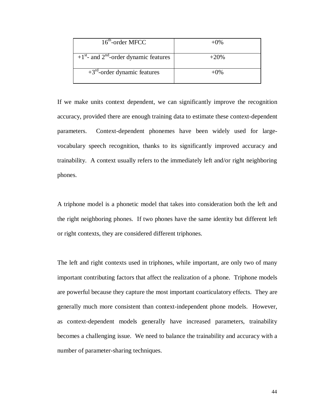| $16^{\text{th}}$ -order MFCC                                     | $+0\%$ |
|------------------------------------------------------------------|--------|
| $+1$ <sup>st</sup> - and 2 <sup>nd</sup> -order dynamic features | $+20%$ |
| $+3^{\text{rd}}$ -order dynamic features                         | $+0\%$ |

If we make units context dependent, we can significantly improve the recognition accuracy, provided there are enough training data to estimate these context-dependent parameters. Context-dependent phonemes have been widely used for largevocabulary speech recognition, thanks to its significantly improved accuracy and trainability. A context usually refers to the immediately left and/or right neighboring phones.

A triphone model is a phonetic model that takes into consideration both the left and the right neighboring phones. If two phones have the same identity but different left or right contexts, they are considered different triphones.

The left and right contexts used in triphones, while important, are only two of many important contributing factors that affect the realization of a phone. Triphone models are powerful because they capture the most important coarticulatory effects. They are generally much more consistent than context-independent phone models. However, as context-dependent models generally have increased parameters, trainability becomes a challenging issue. We need to balance the trainability and accuracy with a number of parameter-sharing techniques.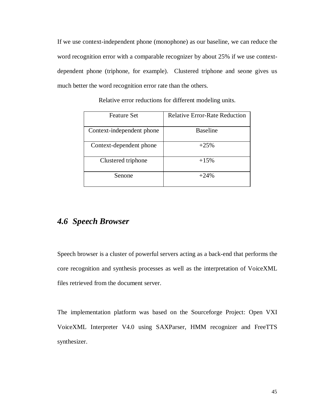If we use context-independent phone (monophone) as our baseline, we can reduce the word recognition error with a comparable recognizer by about 25% if we use contextdependent phone (triphone, for example). Clustered triphone and seone gives us much better the word recognition error rate than the others.

| <b>Feature Set</b>        | <b>Relative Error-Rate Reduction</b> |
|---------------------------|--------------------------------------|
|                           |                                      |
| Context-independent phone | <b>Baseline</b>                      |
| Context-dependent phone   | $+25%$                               |
| Clustered triphone        | $+15%$                               |
| Senone                    | $+24%$                               |

Relative error reductions for different modeling units.

## *4.6 Speech Browser*

Speech browser is a cluster of powerful servers acting as a back-end that performs the core recognition and synthesis processes as well as the interpretation of VoiceXML files retrieved from the document server.

The implementation platform was based on the Sourceforge Project: Open VXI VoiceXML Interpreter V4.0 using SAXParser, HMM recognizer and FreeTTS synthesizer.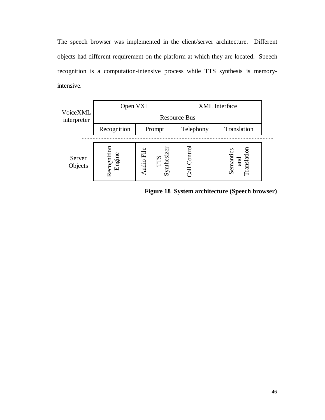The speech browser was implemented in the client/server architecture. Different objects had different requirement on the platform at which they are located. Speech recognition is a computation-intensive process while TTS synthesis is memoryintensive.



**Figure 18 System architecture (Speech browser)**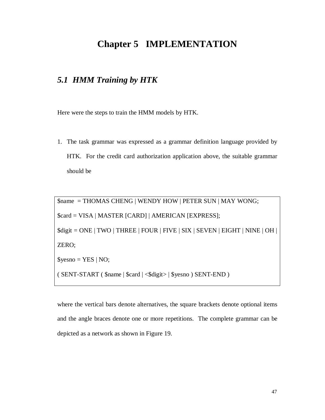## **Chapter 5 IMPLEMENTATION**

## *5.1 HMM Training by HTK*

Here were the steps to train the HMM models by HTK.

1. The task grammar was expressed as a grammar definition language provided by HTK. For the credit card authorization application above, the suitable grammar should be

\$name = THOMAS CHENG | WENDY HOW | PETER SUN | MAY WONG; \$card = VISA | MASTER [CARD] | AMERICAN [EXPRESS]; \$digit = ONE | TWO | THREE | FOUR | FIVE | SIX | SEVEN | EIGHT | NINE | OH | ZERO;

 $\text{Styesno} = \text{YES} \mid \text{NO};$ 

( SENT-START ( \$name | \$card | <\$digit> | \$yesno ) SENT-END )

where the vertical bars denote alternatives, the square brackets denote optional items and the angle braces denote one or more repetitions. The complete grammar can be depicted as a network as shown in Figure 19.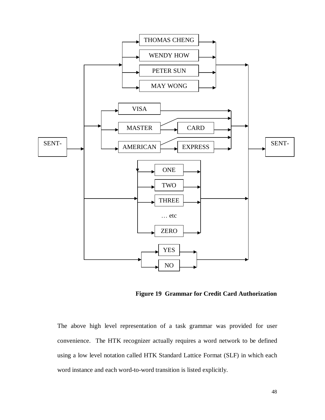

**Figure 19 Grammar for Credit Card Authorization** 

The above high level representation of a task grammar was provided for user convenience. The HTK recognizer actually requires a word network to be defined using a low level notation called HTK Standard Lattice Format (SLF) in which each word instance and each word-to-word transition is listed explicitly.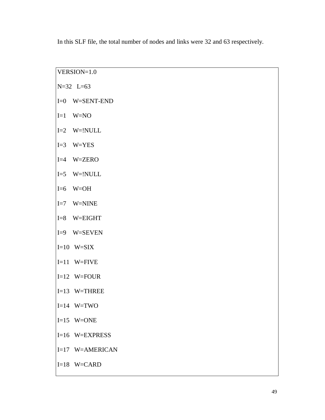In this SLF file, the total number of nodes and links were 32 and 63 respectively.

| VERSION=1.0 |                 |  |  |
|-------------|-----------------|--|--|
|             | $N=32$ $L=63$   |  |  |
|             | I=0 W=SENT-END  |  |  |
|             | $I=1$ W=NO      |  |  |
|             | $I=2$ W=!NULL   |  |  |
|             | $I=3$ W=YES     |  |  |
|             | $I=4$ W=ZERO    |  |  |
|             | $I=5$ W=!NULL   |  |  |
|             | $I=6$ W=OH      |  |  |
|             | $I=7$ W=NINE    |  |  |
|             | $I=8$ W=EIGHT   |  |  |
|             | I=9 W=SEVEN     |  |  |
|             | $I=10$ W=SIX    |  |  |
|             | $I=11$ W=FIVE   |  |  |
|             | $I=12$ W=FOUR   |  |  |
|             | $I=13$ W=THREE  |  |  |
|             | $I=14$ W=TWO    |  |  |
|             | $I=15$ W=ONE    |  |  |
|             | I=16 W=EXPRESS  |  |  |
|             | I=17 W=AMERICAN |  |  |
|             | $I=18$ W=CARD   |  |  |
|             |                 |  |  |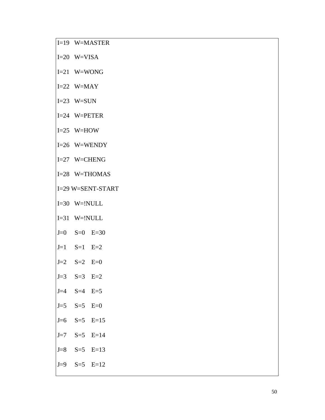- I=19 W=MASTER
- I=20 W=VISA
- I=21 W=WONG
- I=22 W=MAY
- I=23 W=SUN
- I=24 W=PETER
- I=25 W=HOW
- I=26 W=WENDY
- I=27 W=CHENG
- I=28 W=THOMAS
- I=29 W=SENT-START
- I=30 W=!NULL
- I=31 W=!NULL
- J=0 S=0 E=30
- $J=1$   $S=1$   $E=2$
- $J=2$   $S=2$   $E=0$
- J=3 S=3 E=2
- $J=4$   $S=4$   $E=5$
- $J=5$   $S=5$   $E=0$
- $J=6$  S=5 E=15
- $J=7$   $S=5$   $E=14$
- $J=8$  S=5 E=13
- J=9 S=5 E=12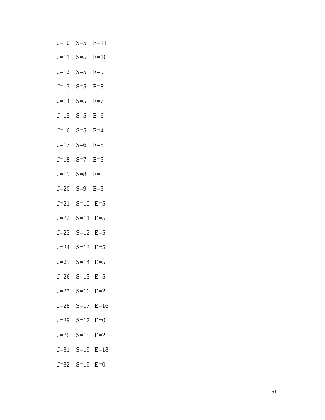| $J=10$ S=5 E=11     |              |                      |
|---------------------|--------------|----------------------|
| $J=11$ $S=5$ $E=10$ |              |                      |
| $J=12$ S=5 E=9      |              |                      |
| $J=13$ S=5 E=8      |              |                      |
| $J=14$ S=5 E=7      |              |                      |
| $J=15$ S=5 E=6      |              |                      |
| $J=16$ S=5 E=4      |              |                      |
| $J=17$ S=6 E=5      |              |                      |
| $J=18$ S=7 E=5      |              |                      |
| $J=19$ $S=8$ $E=5$  |              |                      |
| $J=20$ $S=9$ $E=5$  |              |                      |
| $J=21$ $S=10$ $E=5$ |              |                      |
| $J=22$ $S=11$ $E=5$ |              |                      |
| $J=23$ $S=12$ $E=5$ |              |                      |
| $J=24$ $S=13$ $E=5$ |              |                      |
| $J=25$              | $S=14$ $E=5$ |                      |
| $J=26$ S=15 E=5     |              |                      |
| $J=27$              |              | $S=16$ $E=2$         |
| $J=28$              |              | $S=17$ $E=16$        |
| $J=29$ $S=17$ $E=0$ |              |                      |
| $J=30$              | $S=18$ $E=2$ |                      |
|                     |              | $J=31$ $S=19$ $E=18$ |
| $J=32$ $S=19$ $E=0$ |              |                      |
|                     |              |                      |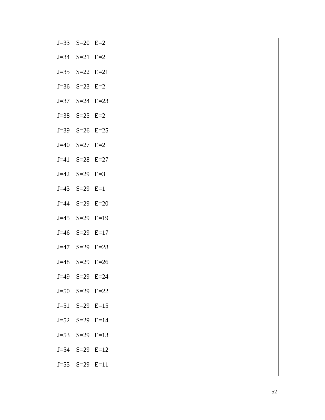| $J=33$ S=20 E=2      |  |
|----------------------|--|
| $J=34$ $S=21$ $E=2$  |  |
| $J=35$ $S=22$ $E=21$ |  |
| $J=36$ $S=23$ $E=2$  |  |
| $J=37$ $S=24$ $E=23$ |  |
| $J=38$ $S=25$ $E=2$  |  |
| $J=39$ $S=26$ $E=25$ |  |
| $J=40$ $S=27$ $E=2$  |  |
| $J=41$ S=28 E=27     |  |
| $J=42$ $S=29$ $E=3$  |  |
| $J=43$ S=29 E=1      |  |
| $J=44$ $S=29$ $E=20$ |  |
| $J=45$ $S=29$ $E=19$ |  |
| $J=46$ $S=29$ $E=17$ |  |
| $J=47$ $S=29$ $E=28$ |  |
| $J=48$ S=29 E=26     |  |
| $J=49$ $S=29$ $E=24$ |  |
| $J=50$ $S=29$ $E=22$ |  |
| $J=51$ $S=29$ $E=15$ |  |
| $J=52$ $S=29$ $E=14$ |  |
| $J=53$ S=29 E=13     |  |
| $J=54$ S=29 E=12     |  |
| $J=55$ $S=29$ $E=11$ |  |
|                      |  |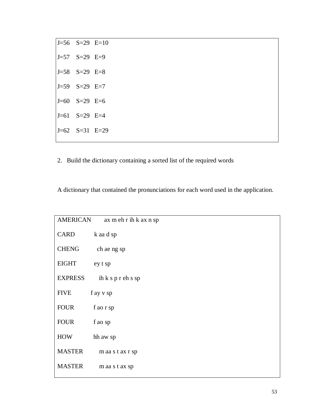|  | $J=56$ S=29 E=10 |  |
|--|------------------|--|
|  | $ J=57$ S=29 E=9 |  |
|  | $ J=58$ S=29 E=8 |  |
|  | $J=59$ S=29 E=7  |  |
|  | $J=60$ S=29 E=6  |  |
|  | $J=61$ S=29 E=4  |  |
|  | $J=62$ S=31 E=29 |  |
|  |                  |  |

2. Build the dictionary containing a sorted list of the required words

A dictionary that contained the pronunciations for each word used in the application.

| <b>AMERICAN</b> | ax m eh r ih k ax n sp                    |
|-----------------|-------------------------------------------|
| <b>CARD</b>     | k aa d sp                                 |
| <b>CHENG</b>    | ch ae ng sp                               |
| <b>EIGHT</b>    | ey t sp                                   |
| <b>EXPRESS</b>  | $ih \, k \, s \, p \, r \, eh \, s \, sp$ |
| <b>FIVE</b>     | f ay v sp                                 |
| <b>FOUR</b>     | f ao r sp                                 |
| <b>FOUR</b>     | f ao sp                                   |
| <b>HOW</b>      | hh aw sp                                  |
| <b>MASTER</b>   | m aa s t ax r sp                          |
| <b>MASTER</b>   | m aa s t ax sp                            |
|                 |                                           |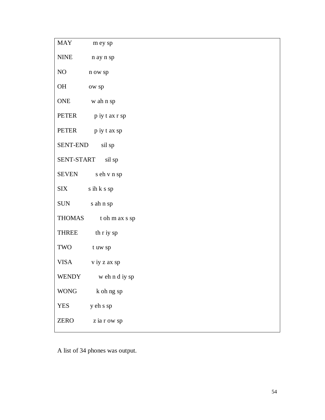| MAY             | m ey sp        |
|-----------------|----------------|
| <b>NINE</b>     | n ay n sp      |
| NO <sub>1</sub> | n ow sp        |
| $\rm OH$        | ow sp          |
| <b>ONE</b>      | w ah n sp      |
| PETER           | p iy t ax r sp |
| <b>PETER</b>    | p iy t ax sp   |
| SENT-END        | sil sp         |
| SENT-START      | sil sp         |
| <b>SEVEN</b>    | s eh v n sp    |
| SIX             | s ih k s sp    |
| <b>SUN</b>      | s ah n sp      |
| <b>THOMAS</b>   | t oh m ax s sp |
| <b>THREE</b>    | th r iy sp     |
| TWO             | t uw sp        |
| <b>VISA</b>     | v iy z ax sp   |
| WENDY           | w eh n d iy sp |
| <b>WONG</b>     | k oh ng sp     |
| <b>YES</b>      | y eh s sp      |
| <b>ZERO</b>     | z ia r ow sp   |

A list of 34 phones was output.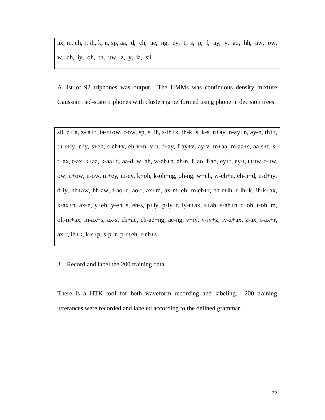ax, m, eh, r, ih, k, n, sp, aa, d, ch, ae, ng, ey, t, s, p, f, ay, v, ao, hh, aw, ow, w, ah, iy, oh, th, uw, z, y, ia, sil

A list of 92 triphones was output. The HMMs was continuous density mixture Gaussian tied-state triphones with clustering performed using phonetic decision trees.

sil, z+ia, z-ia+r, ia-r+ow, r-ow, sp, s+ih, s-ih+k, ih-k+s, k-s, n+ay, n-ay+n, ay-n, th+r, th-r+iy, r-iy, s+eh, s-eh+v, eh-v+n, v-n, f+ay, f-ay+v, ay-v, m+aa, m-aa+s, aa-s+t, st+ax, t-ax, k+aa, k-aa+d, aa-d, w+ah, w-ah+n, ah-n, f+ao, f-ao, ey+t, ey-t, t+uw, t-uw, ow, n+ow, n-ow, m+ey, m-ey, k+oh, k-oh+ng, oh-ng, w+eh, w-eh+n, eh-n+d, n-d+iy, d-iy, hh+aw, hh-aw, f-ao+r, ao-r, ax+m, ax-m+eh, m-eh+r, eh-r+ih, r-ih+k, ih-k+ax, k-ax+n, ax-n, y+eh, y-eh+s, eh-s, p+iy, p-iy+t, iy-t+ax, s+ah, s-ah+n, t+oh, t-oh+m, oh-m+ax, m-ax+s, ax-s, ch+ae, ch-ae+ng, ae-ng, v+iy, v-iy+z, iy-z+ax, z-ax, t-ax+r, ax-r, ih+k, k-s+p, s-p+r, p-r+eh, r-eh+s

3. Record and label the 200 training data

There is a HTK tool for both waveform recording and labeling. 200 training utterances were recorded and labeled according to the defined grammar.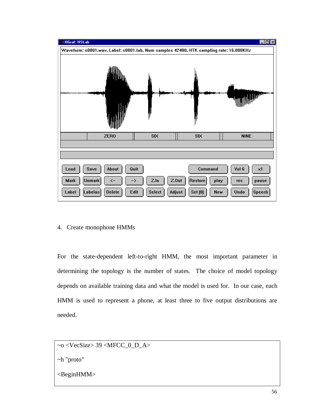

4. Create monophone HMMs

For the state-dependent left-to-right HMM, the most important parameter in determining the topology is the number of states. The choice of model topology depends on available training data and what the model is used for. In our case, each HMM is used to represent a phone, at least three to five output distributions are needed.

| $\sim$ o <vecsize> 39 <mfcc_0_d_a></mfcc_0_d_a></vecsize> |  |
|-----------------------------------------------------------|--|
| $\sim$ h "proto"                                          |  |
| $\leq$ BeginHMM $>$                                       |  |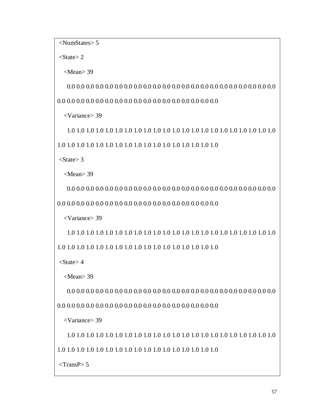<NumStates> 5

 $\langle$ State $> 2$ 

<Mean> 39

0.0 0.0 0.0 0.0 0.0 0.0 0.0 0.0 0.0 0.0 0.0 0.0 0.0 0.0 0.0 0.0 0.0 0.0 0.0 0.0 0.0 0.0

0.0 0.0 0.0 0.0 0.0 0.0 0.0 0.0 0.0 0.0 0.0 0.0 0.0 0.0 0.0 0.0 0.0

<Variance> 39

1.0 1.0 1.0 1.0 1.0 1.0 1.0 1.0 1.0 1.0 1.0 1.0 1.0 1.0 1.0 1.0 1.0 1.0 1.0 1.0 1.0 1.0

1.0 1.0 1.0 1.0 1.0 1.0 1.0 1.0 1.0 1.0 1.0 1.0 1.0 1.0 1.0 1.0 1.0

 $\langle$ State $>$  3

<Mean> 39

0.0 0.0 0.0 0.0 0.0 0.0 0.0 0.0 0.0 0.0 0.0 0.0 0.0 0.0 0.0 0.0 0.0 0.0 0.0 0.0 0.0 0.0

0.0 0.0 0.0 0.0 0.0 0.0 0.0 0.0 0.0 0.0 0.0 0.0 0.0 0.0 0.0 0.0 0.0

<Variance> 39

1.0 1.0 1.0 1.0 1.0 1.0 1.0 1.0 1.0 1.0 1.0 1.0 1.0 1.0 1.0 1.0 1.0 1.0 1.0 1.0 1.0 1.0

1.0 1.0 1.0 1.0 1.0 1.0 1.0 1.0 1.0 1.0 1.0 1.0 1.0 1.0 1.0 1.0 1.0

 $<$ State $> 4$ 

<Mean> 39

0.0 0.0 0.0 0.0 0.0 0.0 0.0 0.0 0.0 0.0 0.0 0.0 0.0 0.0 0.0 0.0 0.0 0.0 0.0 0.0 0.0 0.0

0.0 0.0 0.0 0.0 0.0 0.0 0.0 0.0 0.0 0.0 0.0 0.0 0.0 0.0 0.0 0.0 0.0

<Variance> 39

1.0 1.0 1.0 1.0 1.0 1.0 1.0 1.0 1.0 1.0 1.0 1.0 1.0 1.0 1.0 1.0 1.0 1.0 1.0 1.0 1.0 1.0

1.0 1.0 1.0 1.0 1.0 1.0 1.0 1.0 1.0 1.0 1.0 1.0 1.0 1.0 1.0 1.0 1.0

<TransP> 5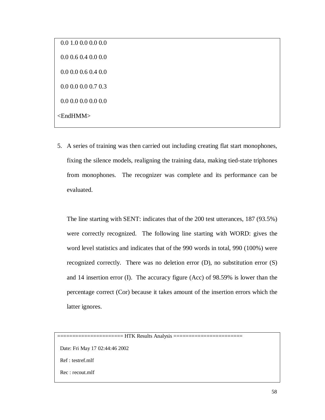| 0.01.00.000.00.0    |  |  |  |
|---------------------|--|--|--|
| 0.0 0.6 0.4 0.0 0.0 |  |  |  |
| 0.0 0.0 0.6 0.4 0.0 |  |  |  |
| 0.0 0.0 0.0 0.7 0.3 |  |  |  |
| 0.0 0.0 0.0 0.0 0.0 |  |  |  |
| $\leq$ EndHMM $>$   |  |  |  |
|                     |  |  |  |

5. A series of training was then carried out including creating flat start monophones, fixing the silence models, realigning the training data, making tied-state triphones from monophones. The recognizer was complete and its performance can be evaluated.

The line starting with SENT: indicates that of the 200 test utterances, 187 (93.5%) were correctly recognized. The following line starting with WORD: gives the word level statistics and indicates that of the 990 words in total, 990 (100%) were recognized correctly. There was no deletion error (D), no substitution error (S) and 14 insertion error (I). The accuracy figure (Acc) of 98.59% is lower than the percentage correct (Cor) because it takes amount of the insertion errors which the latter ignores.

 $==$  HTK Results Analysis  $==$ 

Date: Fri May 17 02:44:46 2002

Ref : testref.mlf

Rec : recout.mlf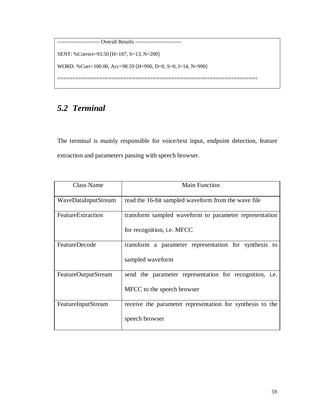```
------------------------ Overall Results -------------------------- 
SENT: %Correct=93.50 [H=187, S=13, N=200] 
WORD: %Corr=100.00, Acc=98.59 [H=990, D=0, S=0, I=14, N=990] 
===================================================================
```
## *5.2 Terminal*

The terminal is mainly responsible for voice/text input, endpoint detection, feature extraction and parameters passing with speech browser.

| Class Name                 | <b>Main Function</b>                                      |
|----------------------------|-----------------------------------------------------------|
| WaveDataInputStream        | read the 16-bit sampled waveform from the wave file       |
| FeatureExtraction          | transform sampled waveform to parameter representation    |
|                            | for recognition, <i>i.e.</i> MFCC                         |
| <b>FeatureDecode</b>       | transform a parameter representation for synthesis to     |
|                            | sampled waveform                                          |
| <b>FeatureOutputStream</b> | send the parameter representation for recognition, i.e.   |
|                            | MFCC to the speech browser                                |
| FeatureInputStream         | receive the parameter representation for synthesis to the |
|                            | speech browser                                            |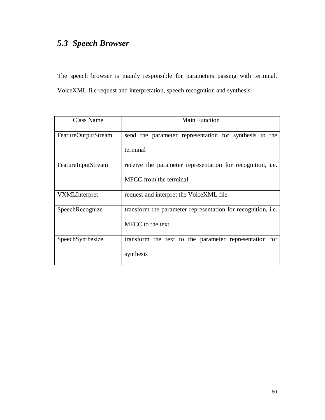# *5.3 Speech Browser*

The speech browser is mainly responsible for parameters passing with terminal, VoiceXML file request and interpretation, speech recognition and synthesis.

| <b>Class Name</b>       | <b>Main Function</b>                                                |
|-------------------------|---------------------------------------------------------------------|
| FeatureOutputStream     | send the parameter representation for synthesis to the              |
|                         | terminal                                                            |
| FeatureInputStream      | receive the parameter representation for recognition, <i>i.e.</i>   |
|                         | MFCC from the terminal                                              |
| <b>VXMLInterpret</b>    | request and interpret the VoiceXML file                             |
| SpeechRecognize         | transform the parameter representation for recognition, <i>i.e.</i> |
|                         | MFCC to the text                                                    |
| <b>SpeechSynthesize</b> | transform the text to the parameter representation for              |
|                         | synthesis                                                           |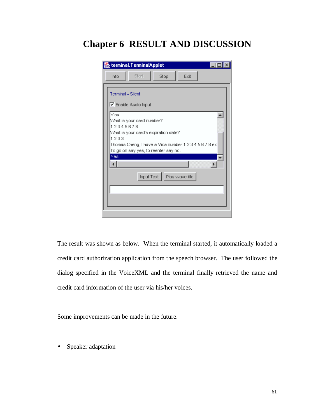## **Chapter 6 RESULT AND DISCUSSION**

| terminal. TerminalApplet                                                                                                                                                                           |
|----------------------------------------------------------------------------------------------------------------------------------------------------------------------------------------------------|
| Start<br>Info<br>Exit<br>Stop                                                                                                                                                                      |
| <b>Terminal - Silent</b>                                                                                                                                                                           |
| <b>▽</b> Enable Audio Input                                                                                                                                                                        |
| What is your card number?<br>12345678<br>Mhat is your card's expiration date?<br>1203<br>Thomas Cheng, I have a Visa number 1 2 3 4 5 6 7 8 ex $\,$<br>To go on say yes, to reenter say no.<br>Yes |
| Input Text   Play wave file                                                                                                                                                                        |
|                                                                                                                                                                                                    |

The result was shown as below. When the terminal started, it automatically loaded a credit card authorization application from the speech browser. The user followed the dialog specified in the VoiceXML and the terminal finally retrieved the name and credit card information of the user via his/her voices.

Some improvements can be made in the future.

• Speaker adaptation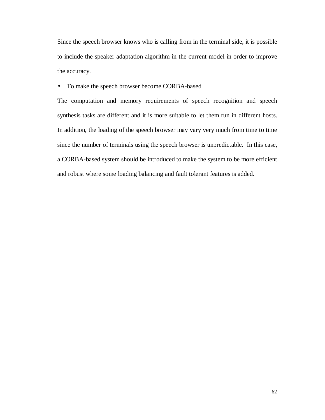Since the speech browser knows who is calling from in the terminal side, it is possible to include the speaker adaptation algorithm in the current model in order to improve the accuracy.

#### • To make the speech browser become CORBA-based

The computation and memory requirements of speech recognition and speech synthesis tasks are different and it is more suitable to let them run in different hosts. In addition, the loading of the speech browser may vary very much from time to time since the number of terminals using the speech browser is unpredictable. In this case, a CORBA-based system should be introduced to make the system to be more efficient and robust where some loading balancing and fault tolerant features is added.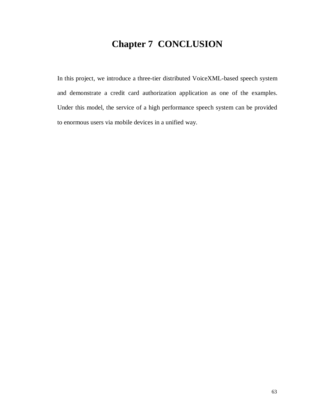# **Chapter 7 CONCLUSION**

In this project, we introduce a three-tier distributed VoiceXML-based speech system and demonstrate a credit card authorization application as one of the examples. Under this model, the service of a high performance speech system can be provided to enormous users via mobile devices in a unified way.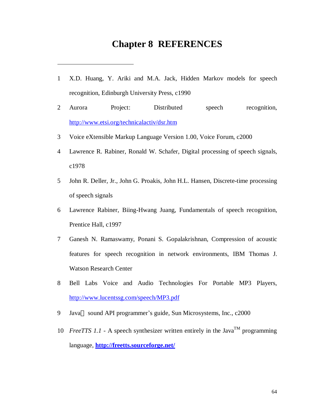## **Chapter 8 REFERENCES**

- 1 X.D. Huang, Y. Ariki and M.A. Jack, Hidden Markov models for speech recognition, Edinburgh University Press, c1990
- 2 Aurora Project: Distributed speech recognition, <http://www.etsi.org/technicalactiv/dsr.htm>
- 3 Voice eXtensible Markup Language Version 1.00, Voice Forum, c2000

<u>.</u>

- 4 Lawrence R. Rabiner, Ronald W. Schafer, Digital processing of speech signals, c1978
- 5 John R. Deller, Jr., John G. Proakis, John H.L. Hansen, Discrete-time processing of speech signals
- 6 Lawrence Rabiner, Biing-Hwang Juang, Fundamentals of speech recognition, Prentice Hall, c1997
- 7 Ganesh N. Ramaswamy, Ponani S. Gopalakrishnan, Compression of acoustic features for speech recognition in network environments, IBM Thomas J. Watson Research Center
- 8 Bell Labs Voice and Audio Technologies For Portable MP3 Players, <http://www.lucentssg.com/speech/MP3.pdf>
- 9 Java<sup>TM</sup> sound API programmer's guide, Sun Microsystems, Inc., c2000
- 10 *FreeTTS 1.1* A speech synthesizer written entirely in the Java<sup>TM</sup> programming language, **<http://freetts.sourceforge.net/>**